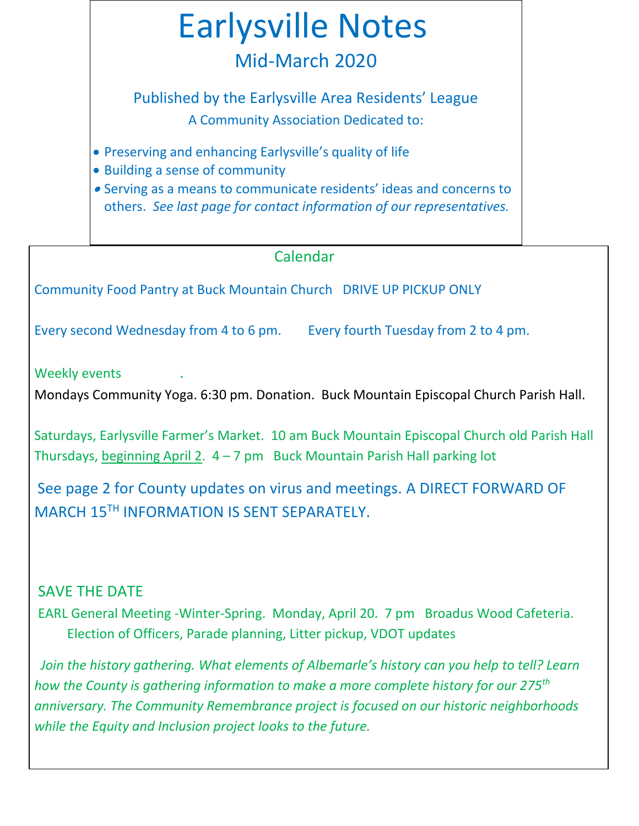

# Calendar

Community Food Pantry at Buck Mountain Church DRIVE UP PICKUP ONLY

Every second Wednesday from 4 to 6 pm. Every fourth Tuesday from 2 to 4 pm.

Weekly events

Mondays Community Yoga. 6:30 pm. Donation. Buck Mountain Episcopal Church Parish Hall.

Saturdays, Earlysville Farmer's Market. 10 am Buck Mountain Episcopal Church old Parish Hall Thursdays, beginning April 2.  $4 - 7$  pm Buck Mountain Parish Hall parking lot

See page 2 for County updates on virus and meetings. A DIRECT FORWARD OF MARCH 15TH INFORMATION IS SENT SEPARATELY.

# SAVE THE DATE

EARL General Meeting -Winter-Spring. Monday, April 20. 7 pm Broadus Wood Cafeteria. Election of Officers, Parade planning, Litter pickup, VDOT updates

*Join the history gathering. What elements of Albemarle's history can you help to tell? Learn how the County is gathering information to make a more complete history for our 275th anniversary. The Community Remembrance project is focused on our historic neighborhoods while the Equity and Inclusion project looks to the future.*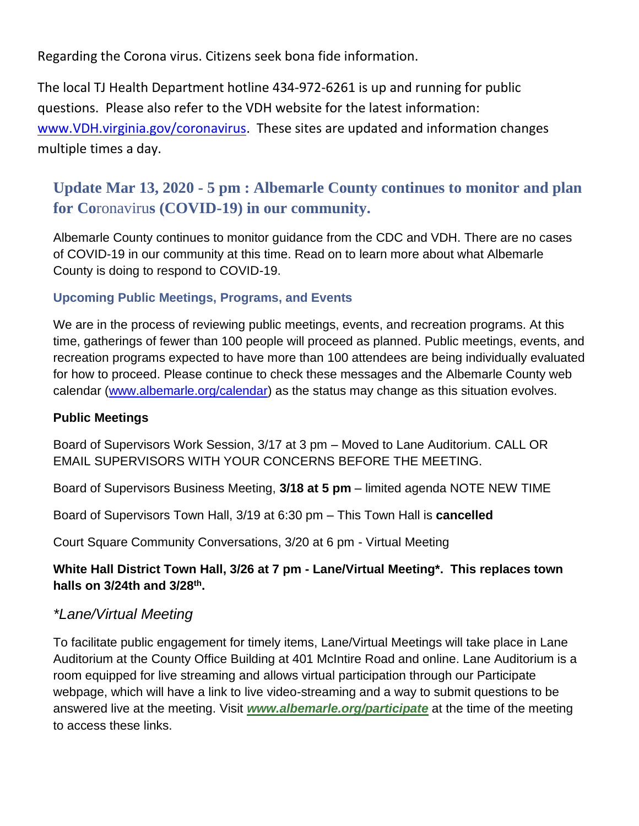Regarding the Corona virus. Citizens seek bona fide information.

The local TJ Health Department hotline 434-972-6261 is up and running for public questions. Please also refer to the VDH website for the latest information: [www.VDH.virginia.gov/coronavirus.](http://www.vdh.virginia.gov/coronavirus) These sites are updated and information changes multiple times a day.

# **Update Mar 13, 2020 - 5 pm : Albemarle County continues to monitor and plan for Co**ronaviru**s (COVID-19) in our community.**

Albemarle County continues to monitor guidance from the CDC and VDH. There are no cases of COVID-19 in our community at this time. Read on to learn more about what Albemarle County is doing to respond to COVID-19.

# **Upcoming Public Meetings, Programs, and Events**

We are in the process of reviewing public meetings, events, and recreation programs. At this time, gatherings of fewer than 100 people will proceed as planned. Public meetings, events, and recreation programs expected to have more than 100 attendees are being individually evaluated for how to proceed. Please continue to check these messages and the Albemarle County web calendar [\(www.albemarle.org/calendar\)](http://www.albemarle.org/calendar) as the status may change as this situation evolves.

### **Public Meetings**

Board of Supervisors Work Session, 3/17 at 3 pm – Moved to Lane Auditorium. CALL OR EMAIL SUPERVISORS WITH YOUR CONCERNS BEFORE THE MEETING.

Board of Supervisors Business Meeting, **3/18 at 5 pm** – limited agenda NOTE NEW TIME

Board of Supervisors Town Hall, 3/19 at 6:30 pm – This Town Hall is **cancelled**

Court Square Community Conversations, 3/20 at 6 pm - Virtual Meeting

**White Hall District Town Hall, 3/26 at 7 pm - Lane/Virtual Meeting\*. This replaces town halls on 3/24th and 3/28th .**

# *\*Lane/Virtual Meeting*

To facilitate public engagement for timely items, Lane/Virtual Meetings will take place in Lane Auditorium at the County Office Building at 401 McIntire Road and online. Lane Auditorium is a room equipped for live streaming and allows virtual participation through our Participate webpage, which will have a link to live video-streaming and a way to submit questions to be answered live at the meeting. Visit *[www.albemarle.org/participate](http://r20.rs6.net/tn.jsp?f=001q-CvZoFX42Z-ctoZiPIr4hrLx7P_T3rcCk5h7nlHLvlaLNaM0nCoSubCH5agZEadb0WhyAoGSlSzTV4Xu-rEDP7MudtGpB_rrSQlpeZYyBaWn8PiEO4sPqNLpWw6DYjK20BOV4ZmgN5pfcz7Tuxq6VHeJIqKoc9Q&c=W2ImUDtuBO_cwWP2DIuzl1KGuK9RyocxeD2GTTWRwNoyAMmbW__TxA==&ch=22oES5NHi374RT_4YLUvuvk8uAW2H20kmuPLaHlozZBdNHvwEhnafg==)* at the time of the meeting to access these links.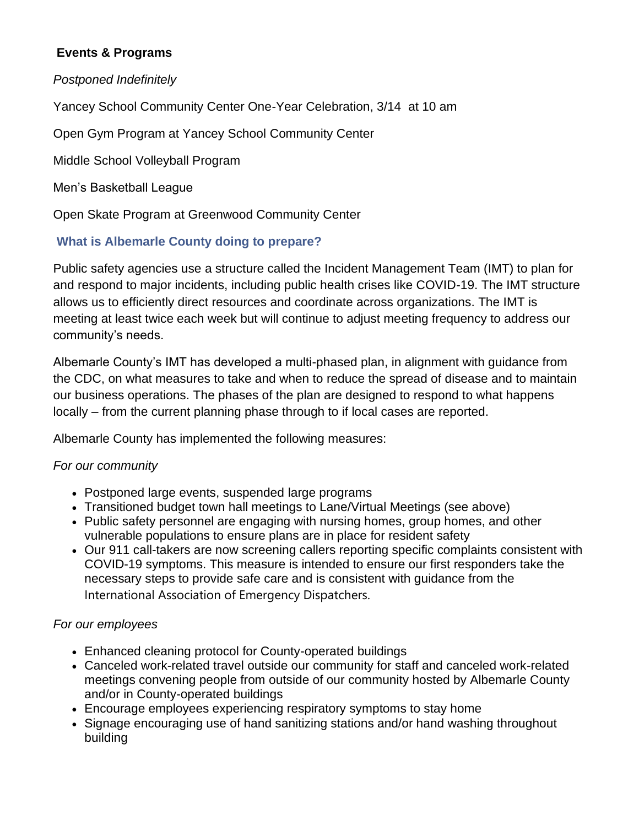## **Events & Programs**

### *Postponed Indefinitely*

Yancey School Community Center One-Year Celebration, 3/14 at 10 am

Open Gym Program at Yancey School Community Center

Middle School Volleyball Program

Men's Basketball League

Open Skate Program at Greenwood Community Center

## **What is Albemarle County doing to prepare?**

Public safety agencies use a structure called the Incident Management Team (IMT) to plan for and respond to major incidents, including public health crises like COVID-19. The IMT structure allows us to efficiently direct resources and coordinate across organizations. The IMT is meeting at least twice each week but will continue to adjust meeting frequency to address our community's needs.

Albemarle County's IMT has developed a multi-phased plan, in alignment with guidance from the CDC, on what measures to take and when to reduce the spread of disease and to maintain our business operations. The phases of the plan are designed to respond to what happens locally – from the current planning phase through to if local cases are reported.

Albemarle County has implemented the following measures:

### *For our community*

- Postponed large events, suspended large programs
- Transitioned budget town hall meetings to Lane/Virtual Meetings (see above)
- Public safety personnel are engaging with nursing homes, group homes, and other vulnerable populations to ensure plans are in place for resident safety
- Our 911 call-takers are now screening callers reporting specific complaints consistent with COVID-19 symptoms. This measure is intended to ensure our first responders take the necessary steps to provide safe care and is consistent with guidance from the International Association of Emergency Dispatchers.

### *For our employees*

- Enhanced cleaning protocol for County-operated buildings
- Canceled work-related travel outside our community for staff and canceled work-related meetings convening people from outside of our community hosted by Albemarle County and/or in County-operated buildings
- Encourage employees experiencing respiratory symptoms to stay home
- Signage encouraging use of hand sanitizing stations and/or hand washing throughout building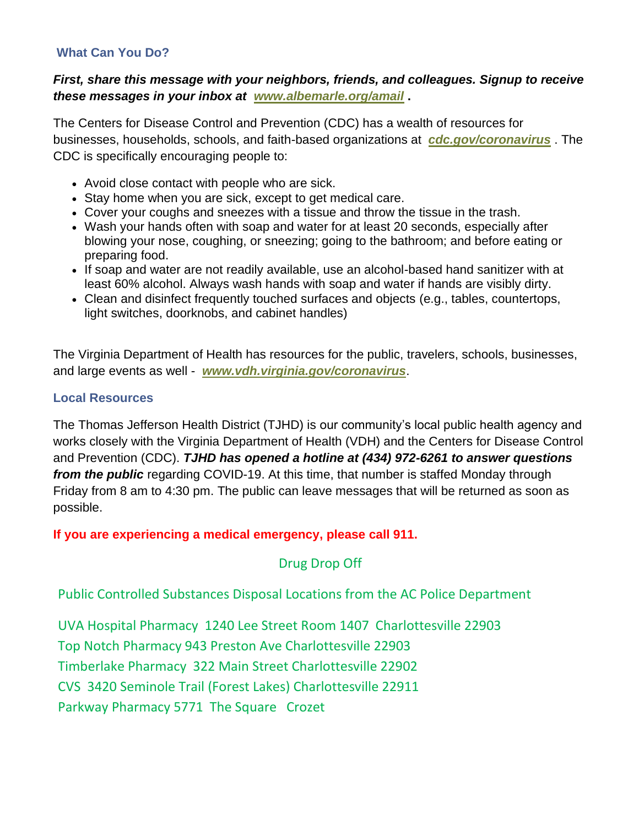#### **What Can You Do?**

### *First, share this message with your neighbors, friends, and colleagues. Signup to receive these messages in your inbox at [www.albemarle.org/amail](http://r20.rs6.net/tn.jsp?f=001q-CvZoFX42Z-ctoZiPIr4hrLx7P_T3rcCk5h7nlHLvlaLNaM0nCoSowvMfpuChCgNMLmcQEezu9wTHqGEJmvVE3G5xAJOu4EVgaKlvLgLs1WlxvCy4CsblKf5sa0iqs-dPIzkeQPhovO22rZbb0Vs8hObNrqxGQm&c=W2ImUDtuBO_cwWP2DIuzl1KGuK9RyocxeD2GTTWRwNoyAMmbW__TxA==&ch=22oES5NHi374RT_4YLUvuvk8uAW2H20kmuPLaHlozZBdNHvwEhnafg==)* **.**

The Centers for Disease Control and Prevention (CDC) has a wealth of resources for businesses, households, schools, and faith-based organizations at *[cdc.gov/coronavirus](http://r20.rs6.net/tn.jsp?f=001q-CvZoFX42Z-ctoZiPIr4hrLx7P_T3rcCk5h7nlHLvlaLNaM0nCoSuJpERW0tQhslGrus5M_pZ89-_zEvVKgOXPpG8r-QhTbKk0t1zG_7A5vZBPf2pseV-tVhaQYHNU2uWDnXciaNiwE3Vq9eizoMA==&c=W2ImUDtuBO_cwWP2DIuzl1KGuK9RyocxeD2GTTWRwNoyAMmbW__TxA==&ch=22oES5NHi374RT_4YLUvuvk8uAW2H20kmuPLaHlozZBdNHvwEhnafg==)* . The CDC is specifically encouraging people to:

- Avoid close contact with people who are sick.
- Stay home when you are sick, except to get medical care.
- Cover your coughs and sneezes with a tissue and throw the tissue in the trash.
- Wash your hands often with soap and water for at least 20 seconds, especially after blowing your nose, coughing, or sneezing; going to the bathroom; and before eating or preparing food.
- If soap and water are not readily available, use an alcohol-based hand sanitizer with at least 60% alcohol. Always wash hands with soap and water if hands are visibly dirty.
- Clean and disinfect frequently touched surfaces and objects (e.g., tables, countertops, light switches, doorknobs, and cabinet handles)

The Virginia Department of Health has resources for the public, travelers, schools, businesses, and large events as well - *[www.vdh.virginia.gov/coronavirus](http://r20.rs6.net/tn.jsp?f=001q-CvZoFX42Z-ctoZiPIr4hrLx7P_T3rcCk5h7nlHLvlaLNaM0nCoShStf48kek1vQtZS05DIjTnYLzST0d0WhQ-zegiXU-YDR4CYVapHjzf7IJWOoJczbL9ouichmwlRucewl0c5t13_9HrAGejwlydVsxiEueTegYiAagUnQp0=&c=W2ImUDtuBO_cwWP2DIuzl1KGuK9RyocxeD2GTTWRwNoyAMmbW__TxA==&ch=22oES5NHi374RT_4YLUvuvk8uAW2H20kmuPLaHlozZBdNHvwEhnafg==)*.

#### **Local Resources**

The Thomas Jefferson Health District (TJHD) is our community's local public health agency and works closely with the Virginia Department of Health (VDH) and the Centers for Disease Control and Prevention (CDC). *TJHD has opened a hotline at (434) 972-6261 to answer questions from the public* regarding COVID-19. At this time, that number is staffed Monday through Friday from 8 am to 4:30 pm. The public can leave messages that will be returned as soon as possible.

**If you are experiencing a medical emergency, please call 911.**

Drug Drop Off

Public Controlled Substances Disposal Locations from the AC Police Department

UVA Hospital Pharmacy 1240 Lee Street Room 1407 Charlottesville 22903 Top Notch Pharmacy 943 Preston Ave Charlottesville 22903 Timberlake Pharmacy 322 Main Street Charlottesville 22902 CVS 3420 Seminole Trail (Forest Lakes) Charlottesville 22911 Parkway Pharmacy 5771 The Square Crozet